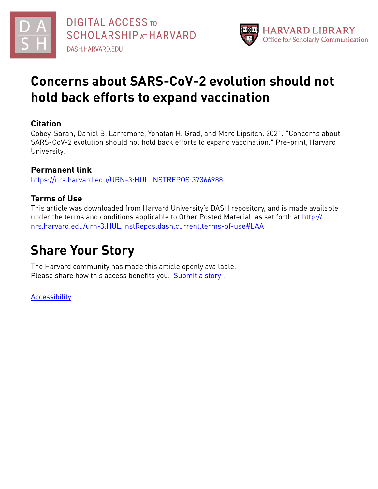



# **Concerns about SARS-CoV-2 evolution should not hold back efforts to expand vaccination**

# **Citation**

Cobey, Sarah, Daniel B. Larremore, Yonatan H. Grad, and Marc Lipsitch. 2021. "Concerns about SARS-CoV-2 evolution should not hold back efforts to expand vaccination." Pre-print, Harvard University.

# **Permanent link**

<https://nrs.harvard.edu/URN-3:HUL.INSTREPOS:37366988>

# **Terms of Use**

This article was downloaded from Harvard University's DASH repository, and is made available under the terms and conditions applicable to Other Posted Material, as set forth at [http://](http://nrs.harvard.edu/urn-3:HUL.InstRepos:dash.current.terms-of-use#LAA) [nrs.harvard.edu/urn-3:HUL.InstRepos:dash.current.terms-of-use#LAA](http://nrs.harvard.edu/urn-3:HUL.InstRepos:dash.current.terms-of-use#LAA)

# **Share Your Story**

The Harvard community has made this article openly available. Please share how this access benefits you. [Submit](http://osc.hul.harvard.edu/dash/open-access-feedback?handle=&title=Concerns%20about%20SARS-CoV-2%20evolution%20should%20not%20hold%20back%20efforts%20to%20expand%20vaccination&community=1/4454687&collection=1/4454688&owningCollection1/4454688&harvardAuthors=0ee23b1b2564eb7a8c8f831c740e4234&department) a story.

[Accessibility](https://dash.harvard.edu/pages/accessibility)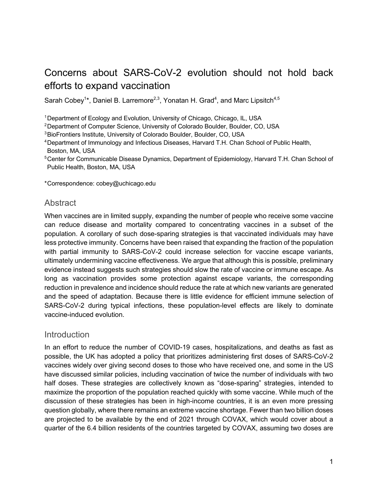# Concerns about SARS-CoV-2 evolution should not hold back efforts to expand vaccination

Sarah Cobey<sup>1\*</sup>, Daniel B. Larremore<sup>2,3</sup>, Yonatan H. Grad<sup>4</sup>, and Marc Lipsitch<sup>4,5</sup>

<sup>1</sup> Department of Ecology and Evolution, University of Chicago, Chicago, IL, USA

<sup>2</sup> Department of Computer Science, University of Colorado Boulder, Boulder, CO, USA

3BioFrontiers Institute, University of Colorado Boulder, Boulder, CO, USA

- 4Department of Immunology and Infectious Diseases, Harvard T.H. Chan School of Public Health, Boston, MA, USA
- <sup>5</sup>Center for Communicable Disease Dynamics, Department of Epidemiology, Harvard T.H. Chan School of Public Health, Boston, MA, USA

\*Correspondence: cobey@uchicago.edu

#### Abstract

When vaccines are in limited supply, expanding the number of people who receive some vaccine can reduce disease and mortality compared to concentrating vaccines in a subset of the population. A corollary of such dose-sparing strategies is that vaccinated individuals may have less protective immunity. Concerns have been raised that expanding the fraction of the population with partial immunity to SARS-CoV-2 could increase selection for vaccine escape variants, ultimately undermining vaccine effectiveness. We argue that although this is possible, preliminary evidence instead suggests such strategies should slow the rate of vaccine or immune escape. As long as vaccination provides some protection against escape variants, the corresponding reduction in prevalence and incidence should reduce the rate at which new variants are generated and the speed of adaptation. Because there is little evidence for efficient immune selection of SARS-CoV-2 during typical infections, these population-level effects are likely to dominate vaccine-induced evolution.

#### Introduction

In an effort to reduce the number of COVID-19 cases, hospitalizations, and deaths as fast as possible, the UK has adopted a policy that prioritizes administering first doses of SARS-CoV-2 vaccines widely over giving second doses to those who have received one, and some in the US have discussed similar policies, including vaccination of twice the number of individuals with two half doses. These strategies are collectively known as "dose-sparing" strategies, intended to maximize the proportion of the population reached quickly with some vaccine. While much of the discussion of these strategies has been in high-income countries, it is an even more pressing question globally, where there remains an extreme vaccine shortage. Fewer than two billion doses are projected to be available by the end of 2021 through COVAX, which would cover about a quarter of the 6.4 billion residents of the countries targeted by COVAX, assuming two doses are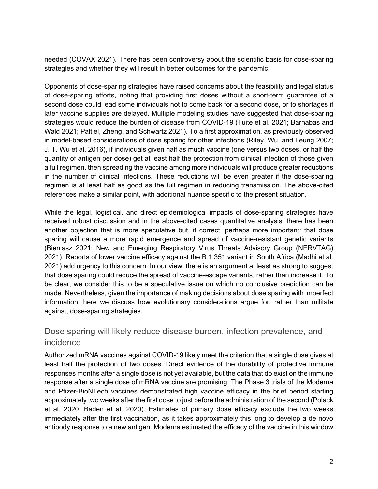needed (COVAX 2021). There has been controversy about the scientific basis for dose-sparing strategies and whether they will result in better outcomes for the pandemic.

Opponents of dose-sparing strategies have raised concerns about the feasibility and legal status of dose-sparing efforts, noting that providing first doses without a short-term guarantee of a second dose could lead some individuals not to come back for a second dose, or to shortages if later vaccine supplies are delayed. Multiple modeling studies have suggested that dose-sparing strategies would reduce the burden of disease from COVID-19 (Tuite et al. 2021; Barnabas and Wald 2021; Paltiel, Zheng, and Schwartz 2021). To a first approximation, as previously observed in model-based considerations of dose sparing for other infections (Riley, Wu, and Leung 2007; J. T. Wu et al. 2016), if individuals given half as much vaccine (one versus two doses, or half the quantity of antigen per dose) get at least half the protection from clinical infection of those given a full regimen, then spreading the vaccine among more individuals will produce greater reductions in the number of clinical infections. These reductions will be even greater if the dose-sparing regimen is at least half as good as the full regimen in reducing transmission. The above-cited references make a similar point, with additional nuance specific to the present situation.

While the legal, logistical, and direct epidemiological impacts of dose-sparing strategies have received robust discussion and in the above-cited cases quantitative analysis, there has been another objection that is more speculative but, if correct, perhaps more important: that dose sparing will cause a more rapid emergence and spread of vaccine-resistant genetic variants (Bieniasz 2021; New and Emerging Respiratory Virus Threats Advisory Group (NERVTAG) 2021). Reports of lower vaccine efficacy against the B.1.351 variant in South Africa (Madhi et al. 2021) add urgency to this concern. In our view, there is an argument at least as strong to suggest that dose sparing could reduce the spread of vaccine-escape variants, rather than increase it. To be clear, we consider this to be a speculative issue on which no conclusive prediction can be made. Nevertheless, given the importance of making decisions about dose sparing with imperfect information, here we discuss how evolutionary considerations argue for, rather than militate against, dose-sparing strategies.

# Dose sparing will likely reduce disease burden, infection prevalence, and incidence

Authorized mRNA vaccines against COVID-19 likely meet the criterion that a single dose gives at least half the protection of two doses. Direct evidence of the durability of protective immune responses months after a single dose is not yet available, but the data that do exist on the immune response after a single dose of mRNA vaccine are promising. The Phase 3 trials of the Moderna and Pfizer-BioNTech vaccines demonstrated high vaccine efficacy in the brief period starting approximately two weeks after the first dose to just before the administration of the second (Polack et al. 2020; Baden et al. 2020). Estimates of primary dose efficacy exclude the two weeks immediately after the first vaccination, as it takes approximately this long to develop a de novo antibody response to a new antigen. Moderna estimated the efficacy of the vaccine in this window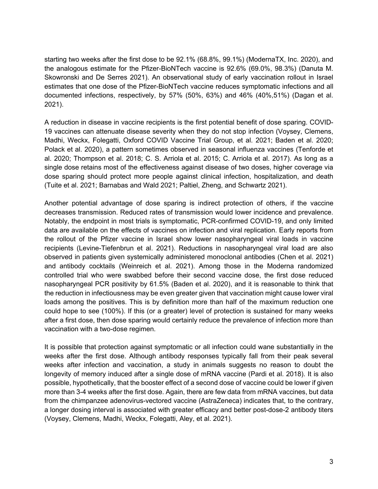starting two weeks after the first dose to be 92.1% (68.8%, 99.1%) (ModernaTX, Inc. 2020), and the analogous estimate for the Pfizer-BioNTech vaccine is 92.6% (69.0%, 98.3%) (Danuta M. Skowronski and De Serres 2021). An observational study of early vaccination rollout in Israel estimates that one dose of the Pfizer-BioNTech vaccine reduces symptomatic infections and all documented infections, respectively, by 57% (50%, 63%) and 46% (40%,51%) (Dagan et al. 2021).

A reduction in disease in vaccine recipients is the first potential benefit of dose sparing. COVID-19 vaccines can attenuate disease severity when they do not stop infection (Voysey, Clemens, Madhi, Weckx, Folegatti, Oxford COVID Vaccine Trial Group, et al. 2021; Baden et al. 2020; Polack et al. 2020), a pattern sometimes observed in seasonal influenza vaccines (Tenforde et al. 2020; Thompson et al. 2018; C. S. Arriola et al. 2015; C. Arriola et al. 2017). As long as a single dose retains most of the effectiveness against disease of two doses, higher coverage via dose sparing should protect more people against clinical infection, hospitalization, and death (Tuite et al. 2021; Barnabas and Wald 2021; Paltiel, Zheng, and Schwartz 2021).

Another potential advantage of dose sparing is indirect protection of others, if the vaccine decreases transmission. Reduced rates of transmission would lower incidence and prevalence. Notably, the endpoint in most trials is symptomatic, PCR-confirmed COVID-19, and only limited data are available on the effects of vaccines on infection and viral replication. Early reports from the rollout of the Pfizer vaccine in Israel show lower nasopharyngeal viral loads in vaccine recipients (Levine-Tiefenbrun et al. 2021). Reductions in nasopharyngeal viral load are also observed in patients given systemically administered monoclonal antibodies (Chen et al. 2021) and antibody cocktails (Weinreich et al. 2021). Among those in the Moderna randomized controlled trial who were swabbed before their second vaccine dose, the first dose reduced nasopharyngeal PCR positivity by 61.5% (Baden et al. 2020), and it is reasonable to think that the reduction in infectiousness may be even greater given that vaccination might cause lower viral loads among the positives. This is by definition more than half of the maximum reduction one could hope to see (100%). If this (or a greater) level of protection is sustained for many weeks after a first dose, then dose sparing would certainly reduce the prevalence of infection more than vaccination with a two-dose regimen.

It is possible that protection against symptomatic or all infection could wane substantially in the weeks after the first dose. Although antibody responses typically fall from their peak several weeks after infection and vaccination, a study in animals suggests no reason to doubt the longevity of memory induced after a single dose of mRNA vaccine (Pardi et al. 2018). It is also possible, hypothetically, that the booster effect of a second dose of vaccine could be lower if given more than 3-4 weeks after the first dose. Again, there are few data from mRNA vaccines, but data from the chimpanzee adenovirus-vectored vaccine (AstraZeneca) indicates that, to the contrary, a longer dosing interval is associated with greater efficacy and better post-dose-2 antibody titers (Voysey, Clemens, Madhi, Weckx, Folegatti, Aley, et al. 2021).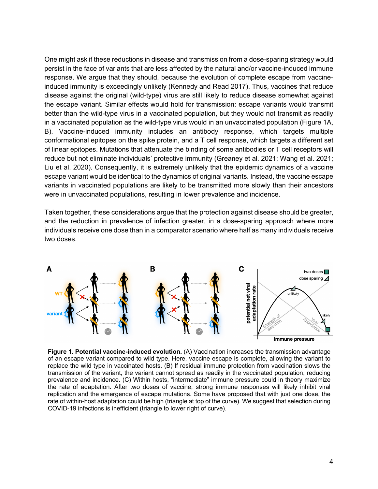One might ask if these reductions in disease and transmission from a dose-sparing strategy would persist in the face of variants that are less affected by the natural and/or vaccine-induced immune response. We argue that they should, because the evolution of complete escape from vaccineinduced immunity is exceedingly unlikely (Kennedy and Read 2017). Thus, vaccines that reduce disease against the original (wild-type) virus are still likely to reduce disease somewhat against the escape variant. Similar effects would hold for transmission: escape variants would transmit better than the wild-type virus in a vaccinated population, but they would not transmit as readily in a vaccinated population as the wild-type virus would in an unvaccinated population (Figure 1A, B). Vaccine-induced immunity includes an antibody response, which targets multiple conformational epitopes on the spike protein, and a T cell response, which targets a different set of linear epitopes. Mutations that attenuate the binding of some antibodies or T cell receptors will reduce but not eliminate individuals' protective immunity (Greaney et al. 2021; Wang et al. 2021; Liu et al. 2020). Consequently, it is extremely unlikely that the epidemic dynamics of a vaccine escape variant would be identical to the dynamics of original variants. Instead, the vaccine escape variants in vaccinated populations are likely to be transmitted more slowly than their ancestors were in unvaccinated populations, resulting in lower prevalence and incidence.

Taken together, these considerations argue that the protection against disease should be greater, and the reduction in prevalence of infection greater, in a dose-sparing approach where more individuals receive one dose than in a comparator scenario where half as many individuals receive two doses.



**Figure 1. Potential vaccine-induced evolution.** (A) Vaccination increases the transmission advantage of an escape variant compared to wild type. Here, vaccine escape is complete, allowing the variant to replace the wild type in vaccinated hosts. (B) If residual immune protection from vaccination slows the transmission of the variant, the variant cannot spread as readily in the vaccinated population, reducing prevalence and incidence. (C) Within hosts, "intermediate" immune pressure could in theory maximize the rate of adaptation. After two doses of vaccine, strong immune responses will likely inhibit viral replication and the emergence of escape mutations. Some have proposed that with just one dose, the rate of within-host adaptation could be high (triangle at top of the curve). We suggest that selection during COVID-19 infections is inefficient (triangle to lower right of curve).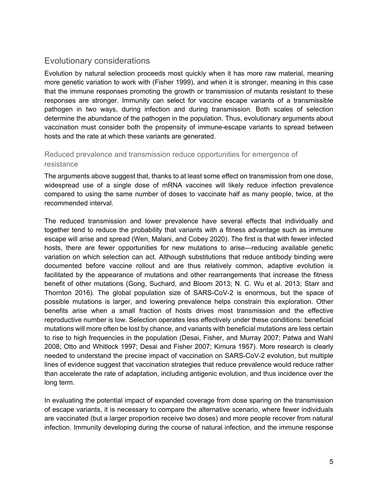# Evolutionary considerations

Evolution by natural selection proceeds most quickly when it has more raw material, meaning more genetic variation to work with (Fisher 1999), and when it is stronger, meaning in this case that the immune responses promoting the growth or transmission of mutants resistant to these responses are stronger. Immunity can select for vaccine escape variants of a transmissible pathogen in two ways, during infection and during transmission. Both scales of selection determine the abundance of the pathogen in the population. Thus, evolutionary arguments about vaccination must consider both the propensity of immune-escape variants to spread between hosts and the rate at which these variants are generated.

#### Reduced prevalence and transmission reduce opportunities for emergence of resistance

The arguments above suggest that, thanks to at least some effect on transmission from one dose, widespread use of a single dose of mRNA vaccines will likely reduce infection prevalence compared to using the same number of doses to vaccinate half as many people, twice, at the recommended interval.

The reduced transmission and lower prevalence have several effects that individually and together tend to reduce the probability that variants with a fitness advantage such as immune escape will arise and spread (Wen, Malani, and Cobey 2020). The first is that with fewer infected hosts, there are fewer opportunities for new mutations to arise—reducing available genetic variation on which selection can act. Although substitutions that reduce antibody binding were documented before vaccine rollout and are thus relatively common, adaptive evolution is facilitated by the appearance of mutations and other rearrangements that increase the fitness benefit of other mutations (Gong, Suchard, and Bloom 2013; N. C. Wu et al. 2013; Starr and Thornton 2016). The global population size of SARS-CoV-2 is enormous, but the space of possible mutations is larger, and lowering prevalence helps constrain this exploration. Other benefits arise when a small fraction of hosts drives most transmission and the effective reproductive number is low. Selection operates less effectively under these conditions: beneficial mutations will more often be lost by chance, and variants with beneficial mutations are less certain to rise to high frequencies in the population (Desai, Fisher, and Murray 2007; Patwa and Wahl 2008; Otto and Whitlock 1997; Desai and Fisher 2007; Kimura 1957). More research is clearly needed to understand the precise impact of vaccination on SARS-CoV-2 evolution, but multiple lines of evidence suggest that vaccination strategies that reduce prevalence would reduce rather than accelerate the rate of adaptation, including antigenic evolution, and thus incidence over the long term.

In evaluating the potential impact of expanded coverage from dose sparing on the transmission of escape variants, it is necessary to compare the alternative scenario, where fewer individuals are vaccinated (but a larger proportion receive two doses) and more people recover from natural infection. Immunity developing during the course of natural infection, and the immune response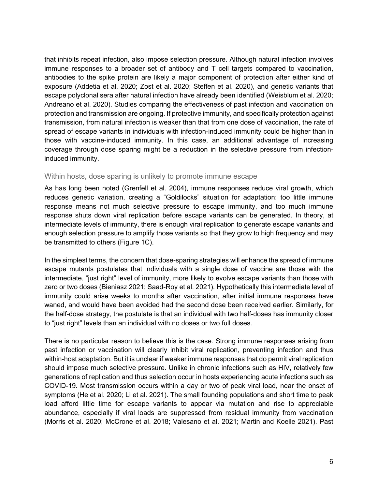that inhibits repeat infection, also impose selection pressure. Although natural infection involves immune responses to a broader set of antibody and T cell targets compared to vaccination, antibodies to the spike protein are likely a major component of protection after either kind of exposure (Addetia et al. 2020; Zost et al. 2020; Steffen et al. 2020), and genetic variants that escape polyclonal sera after natural infection have already been identified (Weisblum et al. 2020; Andreano et al. 2020). Studies comparing the effectiveness of past infection and vaccination on protection and transmission are ongoing. If protective immunity, and specifically protection against transmission, from natural infection is weaker than that from one dose of vaccination, the rate of spread of escape variants in individuals with infection-induced immunity could be higher than in those with vaccine-induced immunity. In this case, an additional advantage of increasing coverage through dose sparing might be a reduction in the selective pressure from infectioninduced immunity.

#### Within hosts, dose sparing is unlikely to promote immune escape

As has long been noted (Grenfell et al. 2004), immune responses reduce viral growth, which reduces genetic variation, creating a "Goldilocks" situation for adaptation: too little immune response means not much selective pressure to escape immunity, and too much immune response shuts down viral replication before escape variants can be generated. In theory, at intermediate levels of immunity, there is enough viral replication to generate escape variants and enough selection pressure to amplify those variants so that they grow to high frequency and may be transmitted to others (Figure 1C).

In the simplest terms, the concern that dose-sparing strategies will enhance the spread of immune escape mutants postulates that individuals with a single dose of vaccine are those with the intermediate, "just right" level of immunity, more likely to evolve escape variants than those with zero or two doses (Bieniasz 2021; Saad-Roy et al. 2021). Hypothetically this intermediate level of immunity could arise weeks to months after vaccination, after initial immune responses have waned, and would have been avoided had the second dose been received earlier. Similarly, for the half-dose strategy, the postulate is that an individual with two half-doses has immunity closer to "just right" levels than an individual with no doses or two full doses.

There is no particular reason to believe this is the case. Strong immune responses arising from past infection or vaccination will clearly inhibit viral replication, preventing infection and thus within-host adaptation. But it is unclear if weaker immune responses that do permit viral replication should impose much selective pressure. Unlike in chronic infections such as HIV, relatively few generations of replication and thus selection occur in hosts experiencing acute infections such as COVID-19. Most transmission occurs within a day or two of peak viral load, near the onset of symptoms (He et al. 2020; Li et al. 2021). The small founding populations and short time to peak load afford little time for escape variants to appear via mutation and rise to appreciable abundance, especially if viral loads are suppressed from residual immunity from vaccination (Morris et al. 2020; McCrone et al. 2018; Valesano et al. 2021; Martin and Koelle 2021). Past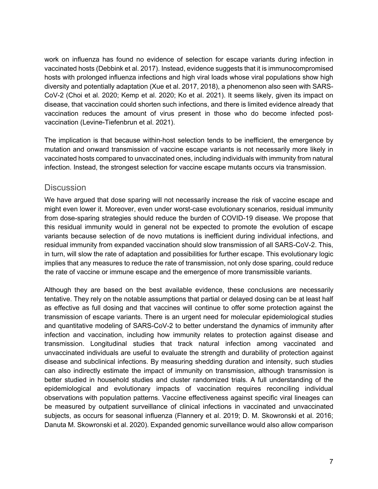work on influenza has found no evidence of selection for escape variants during infection in vaccinated hosts (Debbink et al. 2017). Instead, evidence suggests that it is immunocompromised hosts with prolonged influenza infections and high viral loads whose viral populations show high diversity and potentially adaptation (Xue et al. 2017, 2018), a phenomenon also seen with SARS-CoV-2 (Choi et al. 2020; Kemp et al. 2020; Ko et al. 2021). It seems likely, given its impact on disease, that vaccination could shorten such infections, and there is limited evidence already that vaccination reduces the amount of virus present in those who do become infected postvaccination (Levine-Tiefenbrun et al. 2021).

The implication is that because within-host selection tends to be inefficient, the emergence by mutation and onward transmission of vaccine escape variants is not necessarily more likely in vaccinated hosts compared to unvaccinated ones, including individuals with immunity from natural infection. Instead, the strongest selection for vaccine escape mutants occurs via transmission.

#### **Discussion**

We have argued that dose sparing will not necessarily increase the risk of vaccine escape and might even lower it. Moreover, even under worst-case evolutionary scenarios, residual immunity from dose-sparing strategies should reduce the burden of COVID-19 disease. We propose that this residual immunity would in general not be expected to promote the evolution of escape variants because selection of de novo mutations is inefficient during individual infections, and residual immunity from expanded vaccination should slow transmission of all SARS-CoV-2. This, in turn, will slow the rate of adaptation and possibilities for further escape. This evolutionary logic implies that any measures to reduce the rate of transmission, not only dose sparing, could reduce the rate of vaccine or immune escape and the emergence of more transmissible variants.

Although they are based on the best available evidence, these conclusions are necessarily tentative. They rely on the notable assumptions that partial or delayed dosing can be at least half as effective as full dosing and that vaccines will continue to offer some protection against the transmission of escape variants. There is an urgent need for molecular epidemiological studies and quantitative modeling of SARS-CoV-2 to better understand the dynamics of immunity after infection and vaccination, including how immunity relates to protection against disease and transmission. Longitudinal studies that track natural infection among vaccinated and unvaccinated individuals are useful to evaluate the strength and durability of protection against disease and subclinical infections. By measuring shedding duration and intensity, such studies can also indirectly estimate the impact of immunity on transmission, although transmission is better studied in household studies and cluster randomized trials. A full understanding of the epidemiological and evolutionary impacts of vaccination requires reconciling individual observations with population patterns. Vaccine effectiveness against specific viral lineages can be measured by outpatient surveillance of clinical infections in vaccinated and unvaccinated subjects, as occurs for seasonal influenza (Flannery et al. 2019; D. M. Skowronski et al. 2016; Danuta M. Skowronski et al. 2020). Expanded genomic surveillance would also allow comparison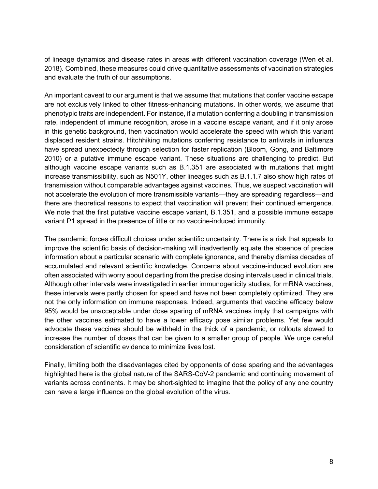of lineage dynamics and disease rates in areas with different vaccination coverage (Wen et al. 2018). Combined, these measures could drive quantitative assessments of vaccination strategies and evaluate the truth of our assumptions.

An important caveat to our argument is that we assume that mutations that confer vaccine escape are not exclusively linked to other fitness-enhancing mutations. In other words, we assume that phenotypic traits are independent. For instance, if a mutation conferring a doubling in transmission rate, independent of immune recognition, arose in a vaccine escape variant, and if it only arose in this genetic background, then vaccination would accelerate the speed with which this variant displaced resident strains. Hitchhiking mutations conferring resistance to antivirals in influenza have spread unexpectedly through selection for faster replication (Bloom, Gong, and Baltimore 2010) or a putative immune escape variant. These situations are challenging to predict. But although vaccine escape variants such as B.1.351 are associated with mutations that might increase transmissibility, such as N501Y, other lineages such as B.1.1.7 also show high rates of transmission without comparable advantages against vaccines. Thus, we suspect vaccination will not accelerate the evolution of more transmissible variants—they are spreading regardless—and there are theoretical reasons to expect that vaccination will prevent their continued emergence. We note that the first putative vaccine escape variant, B.1.351, and a possible immune escape variant P1 spread in the presence of little or no vaccine-induced immunity.

The pandemic forces difficult choices under scientific uncertainty. There is a risk that appeals to improve the scientific basis of decision-making will inadvertently equate the absence of precise information about a particular scenario with complete ignorance, and thereby dismiss decades of accumulated and relevant scientific knowledge. Concerns about vaccine-induced evolution are often associated with worry about departing from the precise dosing intervals used in clinical trials. Although other intervals were investigated in earlier immunogenicity studies, for mRNA vaccines, these intervals were partly chosen for speed and have not been completely optimized. They are not the only information on immune responses. Indeed, arguments that vaccine efficacy below 95% would be unacceptable under dose sparing of mRNA vaccines imply that campaigns with the other vaccines estimated to have a lower efficacy pose similar problems. Yet few would advocate these vaccines should be withheld in the thick of a pandemic, or rollouts slowed to increase the number of doses that can be given to a smaller group of people. We urge careful consideration of scientific evidence to minimize lives lost.

Finally, limiting both the disadvantages cited by opponents of dose sparing and the advantages highlighted here is the global nature of the SARS-CoV-2 pandemic and continuing movement of variants across continents. It may be short-sighted to imagine that the policy of any one country can have a large influence on the global evolution of the virus.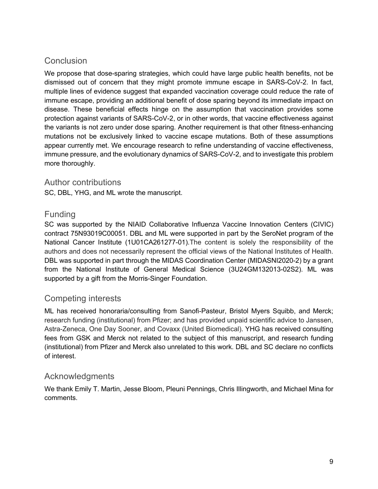# **Conclusion**

We propose that dose-sparing strategies, which could have large public health benefits, not be dismissed out of concern that they might promote immune escape in SARS-CoV-2. In fact, multiple lines of evidence suggest that expanded vaccination coverage could reduce the rate of immune escape, providing an additional benefit of dose sparing beyond its immediate impact on disease. These beneficial effects hinge on the assumption that vaccination provides some protection against variants of SARS-CoV-2, or in other words, that vaccine effectiveness against the variants is not zero under dose sparing. Another requirement is that other fitness-enhancing mutations not be exclusively linked to vaccine escape mutations. Both of these assumptions appear currently met. We encourage research to refine understanding of vaccine effectiveness, immune pressure, and the evolutionary dynamics of SARS-CoV-2, and to investigate this problem more thoroughly.

#### Author contributions

SC, DBL, YHG, and ML wrote the manuscript.

### Funding

SC was supported by the NIAID Collaborative Influenza Vaccine Innovation Centers (CIVIC) contract 75N93019C00051. DBL and ML were supported in part by the SeroNet program of the National Cancer Institute (1U01CA261277-01).The content is solely the responsibility of the authors and does not necessarily represent the official views of the National Institutes of Health. DBL was supported in part through the MIDAS Coordination Center (MIDASNI2020-2) by a grant from the National Institute of General Medical Science (3U24GM132013-02S2). ML was supported by a gift from the Morris-Singer Foundation.

# Competing interests

ML has received honoraria/consulting from Sanofi-Pasteur, Bristol Myers Squibb, and Merck; research funding (institutional) from Pfizer; and has provided unpaid scientific advice to Janssen, Astra-Zeneca, One Day Sooner, and Covaxx (United Biomedical). YHG has received consulting fees from GSK and Merck not related to the subject of this manuscript, and research funding (institutional) from Pfizer and Merck also unrelated to this work. DBL and SC declare no conflicts of interest.

### Acknowledgments

We thank Emily T. Martin, Jesse Bloom, Pleuni Pennings, Chris Illingworth, and Michael Mina for comments.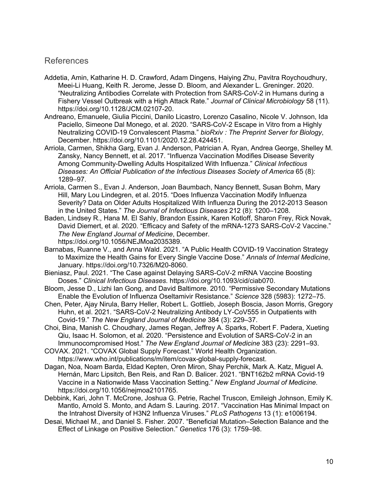#### References

- Addetia, Amin, Katharine H. D. Crawford, Adam Dingens, Haiying Zhu, Pavitra Roychoudhury, Meei-Li Huang, Keith R. Jerome, Jesse D. Bloom, and Alexander L. Greninger. 2020. "Neutralizing Antibodies Correlate with Protection from SARS-CoV-2 in Humans during a Fishery Vessel Outbreak with a High Attack Rate." *Journal of Clinical Microbiology* 58 (11). https://doi.org/10.1128/JCM.02107-20.
- Andreano, Emanuele, Giulia Piccini, Danilo Licastro, Lorenzo Casalino, Nicole V. Johnson, Ida Paciello, Simeone Dal Monego, et al. 2020. "SARS-CoV-2 Escape in Vitro from a Highly Neutralizing COVID-19 Convalescent Plasma." *bioRxiv : The Preprint Server for Biology*, December. https://doi.org/10.1101/2020.12.28.424451.
- Arriola, Carmen, Shikha Garg, Evan J. Anderson, Patrician A. Ryan, Andrea George, Shelley M. Zansky, Nancy Bennett, et al. 2017. "Influenza Vaccination Modifies Disease Severity Among Community-Dwelling Adults Hospitalized With Influenza." *Clinical Infectious Diseases: An Official Publication of the Infectious Diseases Society of America* 65 (8): 1289–97.
- Arriola, Carmen S., Evan J. Anderson, Joan Baumbach, Nancy Bennett, Susan Bohm, Mary Hill, Mary Lou Lindegren, et al. 2015. "Does Influenza Vaccination Modify Influenza Severity? Data on Older Adults Hospitalized With Influenza During the 2012-2013 Season in the United States." *The Journal of Infectious Diseases* 212 (8): 1200–1208.
- Baden, Lindsey R., Hana M. El Sahly, Brandon Essink, Karen Kotloff, Sharon Frey, Rick Novak, David Diemert, et al. 2020. "Efficacy and Safety of the mRNA-1273 SARS-CoV-2 Vaccine." *The New England Journal of Medicine*, December. https://doi.org/10.1056/NEJMoa2035389.
- Barnabas, Ruanne V., and Anna Wald. 2021. "A Public Health COVID-19 Vaccination Strategy to Maximize the Health Gains for Every Single Vaccine Dose." *Annals of Internal Medicine*, January. https://doi.org/10.7326/M20-8060.
- Bieniasz, Paul. 2021. "The Case against Delaying SARS-CoV-2 mRNA Vaccine Boosting Doses." *Clinical Infectious Diseases*. https://doi.org/10.1093/cid/ciab070.
- Bloom, Jesse D., Lizhi Ian Gong, and David Baltimore. 2010. "Permissive Secondary Mutations Enable the Evolution of Influenza Oseltamivir Resistance." *Science* 328 (5983): 1272–75.
- Chen, Peter, Ajay Nirula, Barry Heller, Robert L. Gottlieb, Joseph Boscia, Jason Morris, Gregory Huhn, et al. 2021. "SARS-CoV-2 Neutralizing Antibody LY-CoV555 in Outpatients with Covid-19." *The New England Journal of Medicine* 384 (3): 229–37.
- Choi, Bina, Manish C. Choudhary, James Regan, Jeffrey A. Sparks, Robert F. Padera, Xueting Qiu, Isaac H. Solomon, et al. 2020. "Persistence and Evolution of SARS-CoV-2 in an Immunocompromised Host." *The New England Journal of Medicine* 383 (23): 2291–93.
- COVAX. 2021. "COVAX Global Supply Forecast." World Health Organization. https://www.who.int/publications/m/item/covax-global-supply-forecast.
- Dagan, Noa, Noam Barda, Eldad Kepten, Oren Miron, Shay Perchik, Mark A. Katz, Miguel A. Hernán, Marc Lipsitch, Ben Reis, and Ran D. Balicer. 2021. "BNT162b2 mRNA Covid-19 Vaccine in a Nationwide Mass Vaccination Setting." *New England Journal of Medicine*. https://doi.org/10.1056/nejmoa2101765.
- Debbink, Kari, John T. McCrone, Joshua G. Petrie, Rachel Truscon, Emileigh Johnson, Emily K. Mantlo, Arnold S. Monto, and Adam S. Lauring. 2017. "Vaccination Has Minimal Impact on the Intrahost Diversity of H3N2 Influenza Viruses." *PLoS Pathogens* 13 (1): e1006194.
- Desai, Michael M., and Daniel S. Fisher. 2007. "Beneficial Mutation–Selection Balance and the Effect of Linkage on Positive Selection." *Genetics* 176 (3): 1759–98.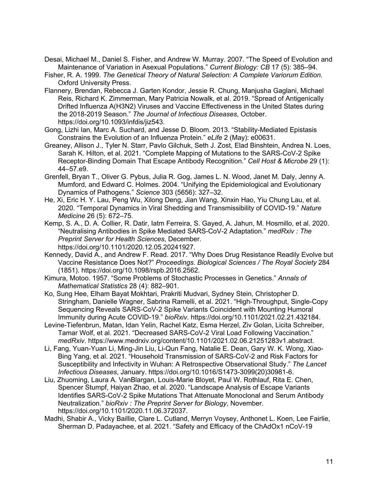- Desai, Michael M., Daniel S. Fisher, and Andrew W. Murray. 2007. "The Speed of Evolution and Maintenance of Variation in Asexual Populations." *Current Biology: CB* 17 (5): 385–94.
- Fisher, R. A. 1999. *The Genetical Theory of Natural Selection: A Complete Variorum Edition*. Oxford University Press.
- Flannery, Brendan, Rebecca J. Garten Kondor, Jessie R. Chung, Manjusha Gaglani, Michael Reis, Richard K. Zimmerman, Mary Patricia Nowalk, et al. 2019. "Spread of Antigenically Drifted Influenza A(H3N2) Viruses and Vaccine Effectiveness in the United States during the 2018-2019 Season." *The Journal of Infectious Diseases*, October. https://doi.org/10.1093/infdis/jiz543.
- Gong, Lizhi Ian, Marc A. Suchard, and Jesse D. Bloom. 2013. "Stability-Mediated Epistasis Constrains the Evolution of an Influenza Protein." *eLife* 2 (May): e00631.
- Greaney, Allison J., Tyler N. Starr, Pavlo Gilchuk, Seth J. Zost, Elad Binshtein, Andrea N. Loes, Sarah K. Hilton, et al. 2021. "Complete Mapping of Mutations to the SARS-CoV-2 Spike Receptor-Binding Domain That Escape Antibody Recognition." *Cell Host & Microbe* 29 (1): 44–57.e9.
- Grenfell, Bryan T., Oliver G. Pybus, Julia R. Gog, James L. N. Wood, Janet M. Daly, Jenny A. Mumford, and Edward C. Holmes. 2004. "Unifying the Epidemiological and Evolutionary Dynamics of Pathogens." *Science* 303 (5656): 327–32.
- He, Xi, Eric H. Y. Lau, Peng Wu, Xilong Deng, Jian Wang, Xinxin Hao, Yiu Chung Lau, et al. 2020. "Temporal Dynamics in Viral Shedding and Transmissibility of COVID-19." *Nature Medicine* 26 (5): 672–75.
- Kemp, S. A., D. A. Collier, R. Datir, Iatm Ferreira, S. Gayed, A. Jahun, M. Hosmillo, et al. 2020. "Neutralising Antibodies in Spike Mediated SARS-CoV-2 Adaptation." *medRxiv : The Preprint Server for Health Sciences*, December. https://doi.org/10.1101/2020.12.05.20241927.
- Kennedy, David A., and Andrew F. Read. 2017. "Why Does Drug Resistance Readily Evolve but Vaccine Resistance Does Not?" *Proceedings. Biological Sciences / The Royal Society* 284 (1851). https://doi.org/10.1098/rspb.2016.2562.
- Kimura, Motoo. 1957. "Some Problems of Stochastic Processes in Genetics." *Annals of Mathematical Statistics* 28 (4): 882–901.
- Ko, Sung Hee, Elham Bayat Mokhtari, Prakriti Mudvari, Sydney Stein, Christopher D. Stringham, Danielle Wagner, Sabrina Ramelli, et al. 2021. "High-Throughput, Single-Copy Sequencing Reveals SARS-CoV-2 Spike Variants Coincident with Mounting Humoral Immunity during Acute COVID-19." *bioRxiv*. https://doi.org/10.1101/2021.02.21.432184.
- Levine-Tiefenbrun, Matan, Idan Yelin, Rachel Katz, Esma Herzel, Ziv Golan, Licita Schreiber, Tamar Wolf, et al. 2021. "Decreased SARS-CoV-2 Viral Load Following Vaccination." *medRxiv*. https://www.medrxiv.org/content/10.1101/2021.02.06.21251283v1.abstract.
- Li, Fang, Yuan-Yuan Li, Ming-Jin Liu, Li-Qun Fang, Natalie E. Dean, Gary W. K. Wong, Xiao-Bing Yang, et al. 2021. "Household Transmission of SARS-CoV-2 and Risk Factors for Susceptibility and Infectivity in Wuhan: A Retrospective Observational Study." *The Lancet Infectious Diseases*, January. https://doi.org/10.1016/S1473-3099(20)30981-6.
- Liu, Zhuoming, Laura A. VanBlargan, Louis-Marie Bloyet, Paul W. Rothlauf, Rita E. Chen, Spencer Stumpf, Haiyan Zhao, et al. 2020. "Landscape Analysis of Escape Variants Identifies SARS-CoV-2 Spike Mutations That Attenuate Monoclonal and Serum Antibody Neutralization." *bioRxiv : The Preprint Server for Biology*, November. https://doi.org/10.1101/2020.11.06.372037.
- Madhi, Shabir A., Vicky Baillie, Clare L. Cutland, Merryn Voysey, Anthonet L. Koen, Lee Fairlie, Sherman D. Padayachee, et al. 2021. "Safety and Efficacy of the ChAdOx1 nCoV-19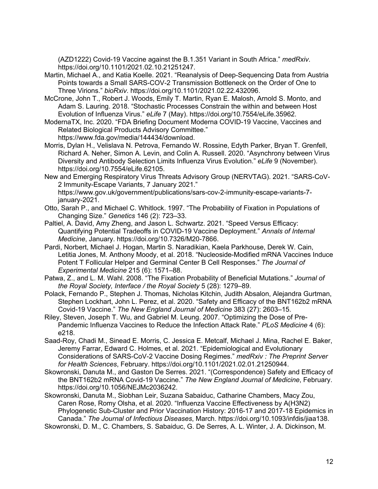(AZD1222) Covid-19 Vaccine against the B.1.351 Variant in South Africa." *medRxiv*. https://doi.org/10.1101/2021.02.10.21251247.

Martin, Michael A., and Katia Koelle. 2021. "Reanalysis of Deep-Sequencing Data from Austria Points towards a Small SARS-COV-2 Transmission Bottleneck on the Order of One to Three Virions." *bioRxiv*. https://doi.org/10.1101/2021.02.22.432096.

McCrone, John T., Robert J. Woods, Emily T. Martin, Ryan E. Malosh, Arnold S. Monto, and Adam S. Lauring. 2018. "Stochastic Processes Constrain the within and between Host Evolution of Influenza Virus." *eLife* 7 (May). https://doi.org/10.7554/eLife.35962.

ModernaTX, Inc. 2020. "FDA Briefing Document Moderna COVID-19 Vaccine, Vaccines and Related Biological Products Advisory Committee." https://www.fda.gov/media/144434/download.

Morris, Dylan H., Velislava N. Petrova, Fernando W. Rossine, Edyth Parker, Bryan T. Grenfell, Richard A. Neher, Simon A. Levin, and Colin A. Russell. 2020. "Asynchrony between Virus Diversity and Antibody Selection Limits Influenza Virus Evolution." *eLife* 9 (November). https://doi.org/10.7554/eLife.62105.

New and Emerging Respiratory Virus Threats Advisory Group (NERVTAG). 2021. "SARS-CoV-2 Immunity-Escape Variants, 7 January 2021." https://www.gov.uk/government/publications/sars-cov-2-immunity-escape-variants-7 january-2021.

- Otto, Sarah P., and Michael C. Whitlock. 1997. "The Probability of Fixation in Populations of Changing Size." *Genetics* 146 (2): 723–33.
- Paltiel, A. David, Amy Zheng, and Jason L. Schwartz. 2021. "Speed Versus Efficacy: Quantifying Potential Tradeoffs in COVID-19 Vaccine Deployment." *Annals of Internal Medicine*, January. https://doi.org/10.7326/M20-7866.
- Pardi, Norbert, Michael J. Hogan, Martin S. Naradikian, Kaela Parkhouse, Derek W. Cain, Letitia Jones, M. Anthony Moody, et al. 2018. "Nucleoside-Modified mRNA Vaccines Induce Potent T Follicular Helper and Germinal Center B Cell Responses." *The Journal of Experimental Medicine* 215 (6): 1571–88.
- Patwa, Z., and L. M. Wahl. 2008. "The Fixation Probability of Beneficial Mutations." *Journal of the Royal Society, Interface / the Royal Society* 5 (28): 1279–89.

Polack, Fernando P., Stephen J. Thomas, Nicholas Kitchin, Judith Absalon, Alejandra Gurtman, Stephen Lockhart, John L. Perez, et al. 2020. "Safety and Efficacy of the BNT162b2 mRNA Covid-19 Vaccine." *The New England Journal of Medicine* 383 (27): 2603–15.

Riley, Steven, Joseph T. Wu, and Gabriel M. Leung. 2007. "Optimizing the Dose of Pre-Pandemic Influenza Vaccines to Reduce the Infection Attack Rate." *PLoS Medicine* 4 (6): e218.

Saad-Roy, Chadi M., Sinead E. Morris, C. Jessica E. Metcalf, Michael J. Mina, Rachel E. Baker, Jeremy Farrar, Edward C. Holmes, et al. 2021. "Epidemiological and Evolutionary Considerations of SARS-CoV-2 Vaccine Dosing Regimes." *medRxiv : The Preprint Server for Health Sciences*, February. https://doi.org/10.1101/2021.02.01.21250944.

Skowronski, Danuta M., and Gaston De Serres. 2021. "(Correspondence) Safety and Efficacy of the BNT162b2 mRNA Covid-19 Vaccine." *The New England Journal of Medicine*, February. https://doi.org/10.1056/NEJMc2036242.

Skowronski, Danuta M., Siobhan Leir, Suzana Sabaiduc, Catharine Chambers, Macy Zou, Caren Rose, Romy Olsha, et al. 2020. "Influenza Vaccine Effectiveness by A(H3N2) Phylogenetic Sub-Cluster and Prior Vaccination History: 2016-17 and 2017-18 Epidemics in Canada." *The Journal of Infectious Diseases*, March. https://doi.org/10.1093/infdis/jiaa138.

Skowronski, D. M., C. Chambers, S. Sabaiduc, G. De Serres, A. L. Winter, J. A. Dickinson, M.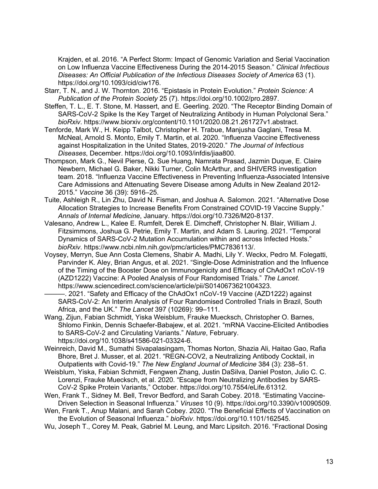Krajden, et al. 2016. "A Perfect Storm: Impact of Genomic Variation and Serial Vaccination on Low Influenza Vaccine Effectiveness During the 2014-2015 Season." *Clinical Infectious Diseases: An Official Publication of the Infectious Diseases Society of America* 63 (1). https://doi.org/10.1093/cid/ciw176.

- Starr, T. N., and J. W. Thornton. 2016. "Epistasis in Protein Evolution." *Protein Science: A Publication of the Protein Society* 25 (7). https://doi.org/10.1002/pro.2897.
- Steffen, T. L., E. T. Stone, M. Hassert, and E. Geerling. 2020. "The Receptor Binding Domain of SARS-CoV-2 Spike Is the Key Target of Neutralizing Antibody in Human Polyclonal Sera." *bioRxiv*. https://www.biorxiv.org/content/10.1101/2020.08.21.261727v1.abstract.
- Tenforde, Mark W., H. Keipp Talbot, Christopher H. Trabue, Manjusha Gaglani, Tresa M. McNeal, Arnold S. Monto, Emily T. Martin, et al. 2020. "Influenza Vaccine Effectiveness against Hospitalization in the United States, 2019-2020." *The Journal of Infectious Diseases*, December. https://doi.org/10.1093/infdis/jiaa800.
- Thompson, Mark G., Nevil Pierse, Q. Sue Huang, Namrata Prasad, Jazmin Duque, E. Claire Newbern, Michael G. Baker, Nikki Turner, Colin McArthur, and SHIVERS investigation team. 2018. "Influenza Vaccine Effectiveness in Preventing Influenza-Associated Intensive Care Admissions and Attenuating Severe Disease among Adults in New Zealand 2012- 2015." *Vaccine* 36 (39): 5916–25.
- Tuite, Ashleigh R., Lin Zhu, David N. Fisman, and Joshua A. Salomon. 2021. "Alternative Dose Allocation Strategies to Increase Benefits From Constrained COVID-19 Vaccine Supply." *Annals of Internal Medicine*, January. https://doi.org/10.7326/M20-8137.
- Valesano, Andrew L., Kalee E. Rumfelt, Derek E. Dimcheff, Christopher N. Blair, William J. Fitzsimmons, Joshua G. Petrie, Emily T. Martin, and Adam S. Lauring. 2021. "Temporal Dynamics of SARS-CoV-2 Mutation Accumulation within and across Infected Hosts." *bioRxiv*. https://www.ncbi.nlm.nih.gov/pmc/articles/PMC7836113/.
- Voysey, Merryn, Sue Ann Costa Clemens, Shabir A. Madhi, Lily Y. Weckx, Pedro M. Folegatti, Parvinder K. Aley, Brian Angus, et al. 2021. "Single-Dose Administration and the Influence of the Timing of the Booster Dose on Immunogenicity and Efficacy of ChAdOx1 nCoV-19 (AZD1222) Vaccine: A Pooled Analysis of Four Randomised Trials." *The Lancet*. https://www.sciencedirect.com/science/article/pii/S0140673621004323.
	- ———. 2021. "Safety and Efficacy of the ChAdOx1 nCoV-19 Vaccine (AZD1222) against SARS-CoV-2: An Interim Analysis of Four Randomised Controlled Trials in Brazil, South Africa, and the UK." *The Lancet* 397 (10269): 99–111.
- Wang, Zijun, Fabian Schmidt, Yiska Weisblum, Frauke Muecksch, Christopher O. Barnes, Shlomo Finkin, Dennis Schaefer-Babajew, et al. 2021. "mRNA Vaccine-Elicited Antibodies to SARS-CoV-2 and Circulating Variants." *Nature*, February. https://doi.org/10.1038/s41586-021-03324-6.
- Weinreich, David M., Sumathi Sivapalasingam, Thomas Norton, Shazia Ali, Haitao Gao, Rafia Bhore, Bret J. Musser, et al. 2021. "REGN-COV2, a Neutralizing Antibody Cocktail, in Outpatients with Covid-19." *The New England Journal of Medicine* 384 (3): 238–51.
- Weisblum, Yiska, Fabian Schmidt, Fengwen Zhang, Justin DaSilva, Daniel Poston, Julio C. C. Lorenzi, Frauke Muecksch, et al. 2020. "Escape from Neutralizing Antibodies by SARS-CoV-2 Spike Protein Variants," October. https://doi.org/10.7554/eLife.61312.
- Wen, Frank T., Sidney M. Bell, Trevor Bedford, and Sarah Cobey. 2018. "Estimating Vaccine-Driven Selection in Seasonal Influenza." *Viruses* 10 (9). https://doi.org/10.3390/v10090509.
- Wen, Frank T., Anup Malani, and Sarah Cobey. 2020. "The Beneficial Effects of Vaccination on the Evolution of Seasonal Influenza." *bioRxiv*. https://doi.org/10.1101/162545.
- Wu, Joseph T., Corey M. Peak, Gabriel M. Leung, and Marc Lipsitch. 2016. "Fractional Dosing